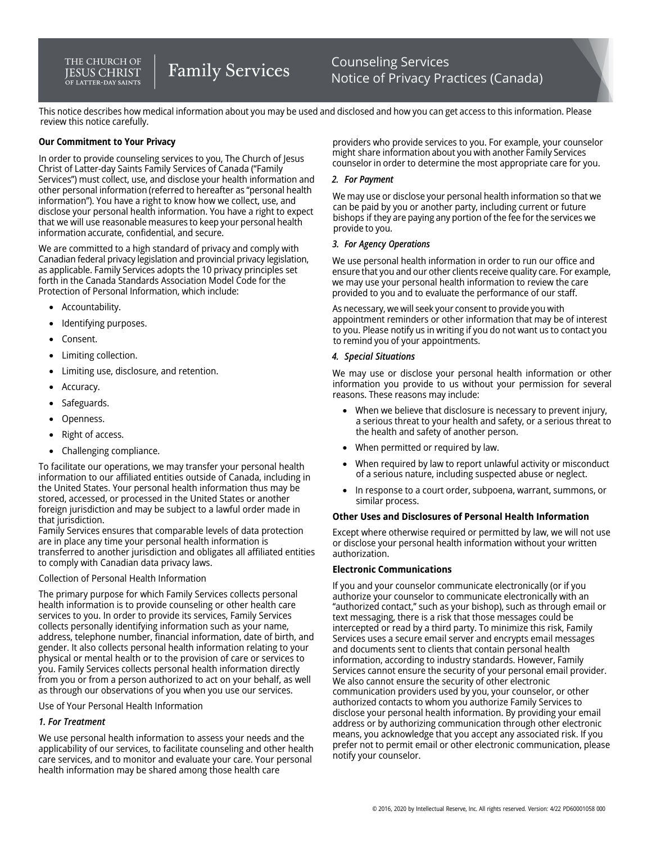#### THE CHURCH OF **IESUS CHRIST** OF LATTER-DAY SAINTS

# **Family Services**

Counseling Services Notice of Privacy Practices (Canada)

This notice describes how medical information about you may be used and disclosed and how you can get access to this information. Please review this notice carefully.

## **Our Commitment to Your Privacy**

In order to provide counseling services to you, The Church of Jesus Christ of Latter-day Saints Family Services of Canada ("Family Services") must collect, use, and disclose your health information and other personal information (referred to hereafter as "personal health information"). You have a right to know how we collect, use, and disclose your personal health information. You have a right to expect that we will use reasonable measures to keep your personal health information accurate, confidential, and secure.

We are committed to a high standard of privacy and comply with Canadian federal privacy legislation and provincial privacy legislation, as applicable. Family Services adopts the 10 privacy principles set forth in the Canada Standards Association Model Code for the Protection of Personal Information, which include:

- Accountability.
- Identifying purposes.
- Consent.
- Limiting collection.
- Limiting use, disclosure, and retention.
- Accuracy.
- Safeguards.
- Openness.
- Right of access.
- Challenging compliance.

To facilitate our operations, we may transfer your personal health information to our affiliated entities outside of Canada, including in the United States. Your personal health information thus may be stored, accessed, or processed in the United States or another foreign jurisdiction and may be subject to a lawful order made in that jurisdiction.

Family Services ensures that comparable levels of data protection are in place any time your personal health information is transferred to another jurisdiction and obligates all affiliated entities to comply with Canadian data privacy laws.

## Collection of Personal Health Information

The primary purpose for which Family Services collects personal health information is to provide counseling or other health care services to you. In order to provide its services, Family Services collects personally identifying information such as your name, address, telephone number, financial information, date of birth, and gender. It also collects personal health information relating to your physical or mental health or to the provision of care or services to you. Family Services collects personal health information directly from you or from a person authorized to act on your behalf, as well as through our observations of you when you use our services.

Use of Your Personal Health Information

## *1. For Treatment*

We use personal health information to assess your needs and the applicability of our services, to facilitate counseling and other health care services, and to monitor and evaluate your care. Your personal health information may be shared among those health care

providers who provide services to you. For example, your counselor might share information about you with another Family Services counselor in order to determine the most appropriate care for you.

## *2. For Payment*

We may use or disclose your personal health information so that we can be paid by you or another party, including current or future bishops if they are paying any portion of the fee for the services we provide to you.

#### *3. For Agency Operations*

We use personal health information in order to run our office and ensure that you and our other clients receive quality care. For example, we may use your personal health information to review the care provided to you and to evaluate the performance of our staff.

As necessary, wewill seek your consent to provide you with appointment reminders or other information that may be of interest to you. Please notify us in writing if you do not want us to contact you to remind you of your appointments.

## *4. Special Situations*

We may use or disclose your personal health information or other information you provide to us without your permission for several reasons. These reasons may include:

- When we believe that disclosure is necessary to prevent injury, a serious threat to your health and safety, or a serious threat to the health and safety of another person.
- When permitted or required by law.
- When required by law to report unlawful activity or misconduct of a serious nature, including suspected abuse or neglect.
- In response to a court order, subpoena, warrant, summons, or similar process.

## **Other Uses and Disclosures of Personal Health Information**

Except where otherwise required or permitted by law, we will not use or disclose your personal health information without your written authorization.

## **Electronic Communications**

If you and your counselor communicate electronically (or if you authorize your counselor to communicate electronically with an "authorized contact," such as your bishop), such as through email or text messaging, there is a risk that those messages could be intercepted or read by a third party. To minimize this risk, Family Services uses a secure email server and encrypts email messages and documents sent to clients that contain personal health information, according to industry standards. However, Family Services cannot ensure the security of your personal email provider. We also cannot ensure the security of other electronic communication providers used by you, your counselor, or other authorized contacts to whom you authorize Family Services to disclose your personal health information. By providing your email address or by authorizing communication through other electronic means, you acknowledge that you accept any associated risk. If you prefer not to permit email or other electronic communication, please notify your counselor.